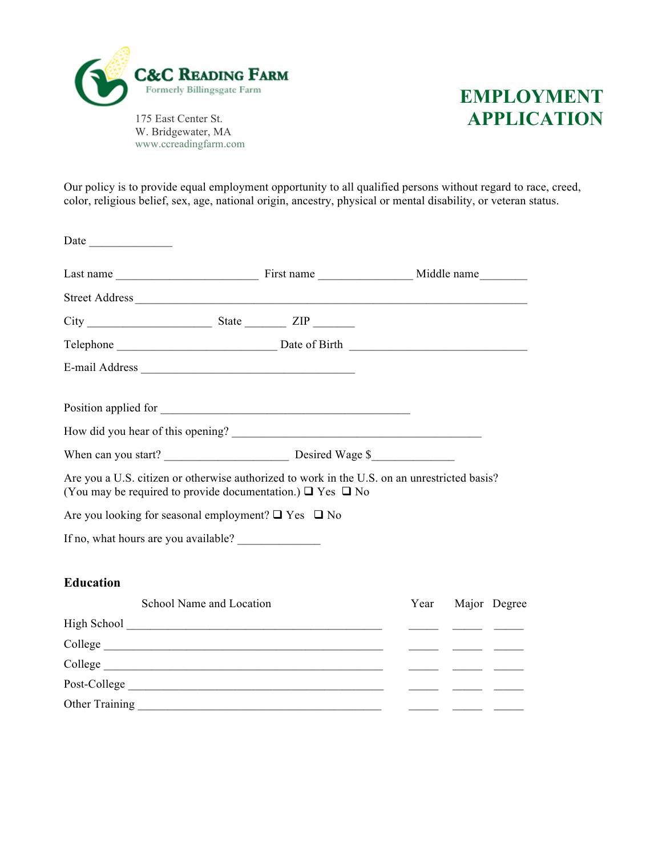



175 East Center St. W. Bridgewater, MA www.ccreadingfarm.com

Our policy is to provide equal employment opportunity to all qualified persons without regard to race, creed, color, religious belief, sex, age, national origin, ancestry, physical or mental disability, or veteran status.

| $City$ $\times$ $IIP$ $\times$ $IIP$ $\times$ $IIP$ $\times$ $IIP$ $\times$ $IIP$ $\times$ $IIP$ $\times$ $IIP$ $\times$ $IIP$ $\times$ $IIP$ $\times$ $IIP$ $\times$ $IIP$ $\times$ $IIP$ $\times$ $IIP$ $\times$ $IIP$ $\times$ $IIP$ $\times$ $IIP$ $\times$ $IIP$ $\times$ $IIP$ $\times$ $IIP$ $\times$ $IIP$ $\times$ $IIP$ $\times$ $I$ |                          |  |      |              |
|------------------------------------------------------------------------------------------------------------------------------------------------------------------------------------------------------------------------------------------------------------------------------------------------------------------------------------------------|--------------------------|--|------|--------------|
|                                                                                                                                                                                                                                                                                                                                                |                          |  |      |              |
|                                                                                                                                                                                                                                                                                                                                                |                          |  |      |              |
|                                                                                                                                                                                                                                                                                                                                                |                          |  |      |              |
|                                                                                                                                                                                                                                                                                                                                                |                          |  |      |              |
|                                                                                                                                                                                                                                                                                                                                                |                          |  |      |              |
| Are you a U.S. citizen or otherwise authorized to work in the U.S. on an unrestricted basis?<br>(You may be required to provide documentation.) $\Box$ Yes $\Box$ No                                                                                                                                                                           |                          |  |      |              |
| Are you looking for seasonal employment? $\Box$ Yes $\Box$ No                                                                                                                                                                                                                                                                                  |                          |  |      |              |
| If no, what hours are you available?                                                                                                                                                                                                                                                                                                           |                          |  |      |              |
| <b>Education</b>                                                                                                                                                                                                                                                                                                                               |                          |  |      |              |
|                                                                                                                                                                                                                                                                                                                                                | School Name and Location |  | Year | Major Degree |
|                                                                                                                                                                                                                                                                                                                                                |                          |  |      |              |
|                                                                                                                                                                                                                                                                                                                                                |                          |  |      |              |
|                                                                                                                                                                                                                                                                                                                                                |                          |  |      |              |
|                                                                                                                                                                                                                                                                                                                                                |                          |  |      |              |
|                                                                                                                                                                                                                                                                                                                                                |                          |  |      |              |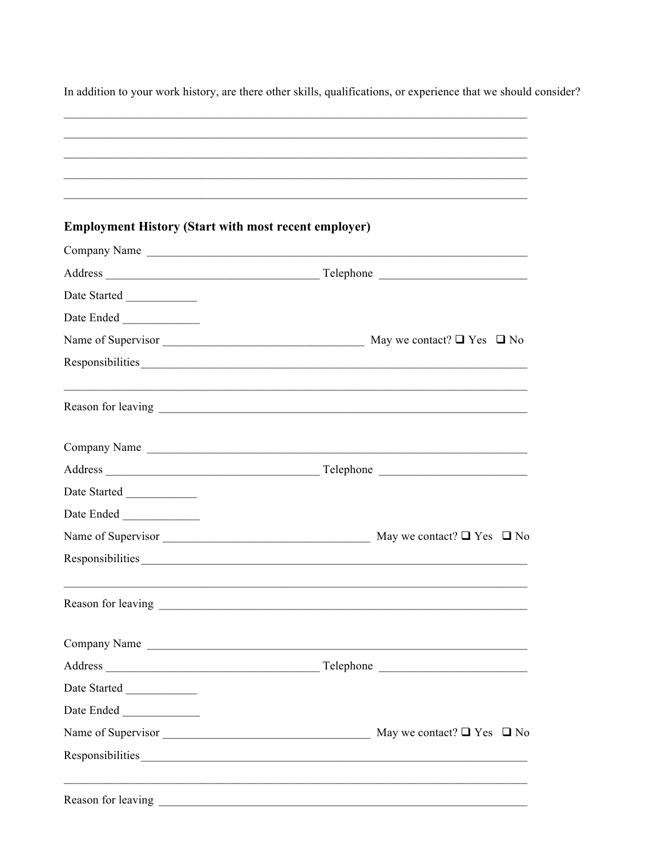|                                                             | In addition to your work history, are there other skills, qualifications, or experience that we should consider?      |  |  |
|-------------------------------------------------------------|-----------------------------------------------------------------------------------------------------------------------|--|--|
|                                                             | <u> 1989 - Johann Harry Harry Harry Harry Harry Harry Harry Harry Harry Harry Harry Harry Harry Harry Harry Harry</u> |  |  |
|                                                             |                                                                                                                       |  |  |
|                                                             |                                                                                                                       |  |  |
|                                                             |                                                                                                                       |  |  |
| <b>Employment History (Start with most recent employer)</b> |                                                                                                                       |  |  |
|                                                             | Company Name                                                                                                          |  |  |
|                                                             |                                                                                                                       |  |  |
|                                                             |                                                                                                                       |  |  |
|                                                             |                                                                                                                       |  |  |
|                                                             |                                                                                                                       |  |  |
|                                                             |                                                                                                                       |  |  |
|                                                             |                                                                                                                       |  |  |
|                                                             | Company Name                                                                                                          |  |  |
|                                                             |                                                                                                                       |  |  |
| Date Started                                                |                                                                                                                       |  |  |
|                                                             |                                                                                                                       |  |  |
|                                                             | Name of Supervisor May we contact? $\Box$ Yes $\Box$ No                                                               |  |  |
|                                                             | Responsibilities                                                                                                      |  |  |
|                                                             |                                                                                                                       |  |  |
|                                                             | Company Name                                                                                                          |  |  |
|                                                             |                                                                                                                       |  |  |
|                                                             |                                                                                                                       |  |  |
|                                                             |                                                                                                                       |  |  |
|                                                             |                                                                                                                       |  |  |
|                                                             | Responsibilities                                                                                                      |  |  |
|                                                             |                                                                                                                       |  |  |
|                                                             |                                                                                                                       |  |  |